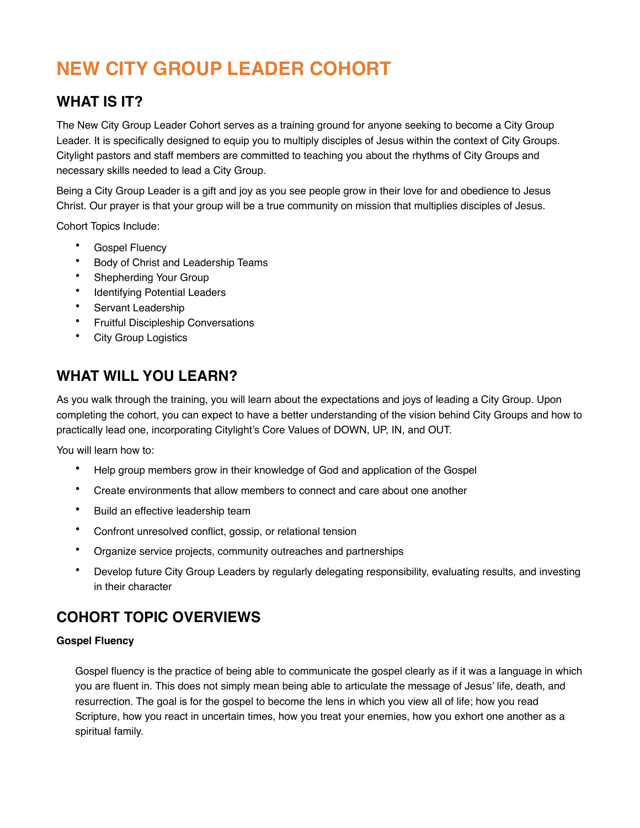# **NEW CITY GROUP LEADER COHORT**

# **WHAT IS IT?**

The New City Group Leader Cohort serves as a training ground for anyone seeking to become a City Group Leader. It is specifically designed to equip you to multiply disciples of Jesus within the context of City Groups. Citylight pastors and staff members are committed to teaching you about the rhythms of City Groups and necessary skills needed to lead a City Group.

Being a City Group Leader is a gift and joy as you see people grow in their love for and obedience to Jesus Christ. Our prayer is that your group will be a true community on mission that multiplies disciples of Jesus.

Cohort Topics Include:

- Gospel Fluency
- Body of Christ and Leadership Teams
- Shepherding Your Group
- **Identifying Potential Leaders**
- Servant Leadership
- Fruitful Discipleship Conversations
- **City Group Logistics**

## **WHAT WILL YOU LEARN?**

As you walk through the training, you will learn about the expectations and joys of leading a City Group. Upon completing the cohort, you can expect to have a better understanding of the vision behind City Groups and how to practically lead one, incorporating Citylight's Core Values of DOWN, UP, IN, and OUT.

You will learn how to:

- Help group members grow in their knowledge of God and application of the Gospel
- Create environments that allow members to connect and care about one another
- Build an effective leadership team
- Confront unresolved conflict, gossip, or relational tension
- Organize service projects, community outreaches and partnerships
- Develop future City Group Leaders by regularly delegating responsibility, evaluating results, and investing in their character

### **COHORT TOPIC OVERVIEWS**

#### **Gospel Fluency**

Gospel fluency is the practice of being able to communicate the gospel clearly as if it was a language in which you are fluent in. This does not simply mean being able to articulate the message of Jesus' life, death, and resurrection. The goal is for the gospel to become the lens in which you view all of life; how you read Scripture, how you react in uncertain times, how you treat your enemies, how you exhort one another as a spiritual family.